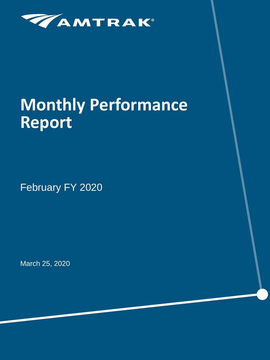

# **Monthly Performance Report**

February FY 2020

March 25, 2020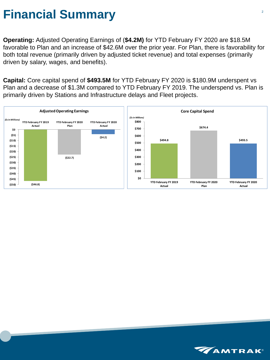### **Financial Summary**

**Operating:** Adjusted Operating Earnings of (**\$4.2M)** for YTD February FY 2020 are \$18.5M favorable to Plan and an increase of \$42.6M over the prior year. For Plan, there is favorability for both total revenue (primarily driven by adjusted ticket revenue) and total expenses (primarily driven by salary, wages, and benefits).

**Capital:** Core capital spend of **\$493.5M** for YTD February FY 2020 is \$180.9M underspent vs Plan and a decrease of \$1.3M compared to YTD February FY 2019. The underspend vs. Plan is primarily driven by Stations and Infrastructure delays and Fleet projects.



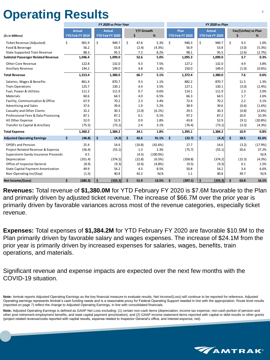## **Operating Results**

|                                           |                      |                        |                      | FY 2020 vs Prior Year  |                      |            |             | <b>FY 2020 vs Plan</b> |                        |                           |                 |    |                     |         |
|-------------------------------------------|----------------------|------------------------|----------------------|------------------------|----------------------|------------|-------------|------------------------|------------------------|---------------------------|-----------------|----|---------------------|---------|
|                                           |                      | <b>Actual</b>          | <b>Actual</b>        |                        |                      | Y/Y Growth |             |                        | Plan                   |                           | <b>Actual</b>   |    | Fav/(Unfav) vs Plan |         |
| (\$s in Millions)                         |                      | <b>YTD Feb FY 2019</b> |                      | <b>YTD Feb FY 2020</b> |                      | \$         | %           |                        | <b>YTD Feb FY 2020</b> |                           | YTD Feb FY 2020 |    | Ś                   | %       |
| Ticket Revenue (Adjusted)                 | \$                   | 901.9                  | \$                   | 949.7                  | \$                   | 47.8       | 5.3%        | \$                     | 940.3                  | \$                        | 949.7           | \$ | 9.3                 | 1.0%    |
| Food & Beverage                           |                      | 56.2                   |                      | 53.8                   |                      | (2.4)      | (4.3%)      |                        | 56.9                   |                           | 53.8            |    | (3.0)               | (5.3%)  |
| <b>State Supported Train Revenue</b>      |                      | 88.3                   |                      | 95.5                   |                      | 7.2        | 8.2%        |                        | 98.1                   |                           | 95.5            |    | (2.6)               | (2.7%)  |
| <b>Subtotal Passenger Related Revenue</b> |                      | 1,046.4                |                      | 1,099.0                |                      | 52.6       | 5.0%        |                        | 1,095.3                |                           | 1,099.0         |    | 3.7                 | 0.3%    |
| <b>Other Core Revenue</b>                 |                      | 122.8                  |                      | 132.0                  |                      | 9.3        | 7.5%        |                        | 127.2                  |                           | 132.0           |    | 4.9                 | 3.8%    |
| <b>Ancillary Revenue</b>                  |                      | 144.2                  |                      | 149.0                  |                      | 4.8        | 3.3%        |                        | 150.0                  |                           | 149.0           |    | (1.0)               | (0.6% ) |
| <b>Total Revenue</b>                      |                      | 1,313.4                |                      | 1,380.0                |                      | 66.7       | 5.1%        |                        | 1,372.4                |                           | 1,380.0         |    | 7.6                 | 0.6%    |
| Salaries, Wages & Benefits                |                      | 861.4                  |                      | 870.7                  |                      | 9.3        | 1.1%        |                        | 882.2                  |                           | 870.7           |    | 11.5                | 1.3%    |
| <b>Train Operations</b>                   |                      | 125.7                  |                      | 130.1                  |                      | 4.4        | 3.5%        |                        | 127.1                  |                           | 130.1           |    | (3.0)               | (2.4%)  |
| Fuel, Power & Utilities                   |                      | 111.2                  |                      | 111.9                  |                      | 0.7        | 0.6%        |                        | 114.1                  |                           | 111.9           |    | 2.3                 | 2.0%    |
| Materials                                 |                      | 60.6                   |                      | 64.5                   |                      | 4.0        | 6.5%        |                        | 66.3                   |                           | 64.5            |    | 1.7                 | 2.6%    |
| Facility, Communication & Office          |                      | 67.9                   |                      | 70.2                   |                      | 2.3        | 3.4%        |                        | 72.4                   |                           | 70.2            |    | 2.2                 | 3.1%    |
| <b>Advertising and Sales</b>              |                      | 37.6                   |                      | 39.6                   |                      | 1.9        | 5.2%        |                        | 38.9                   |                           | 39.6            |    | (0.6)               | (1.6%)  |
| <b>Casualty and Other Claims</b>          |                      | 32.2                   |                      | 30.3                   |                      | (2.0)      | $(6.1\%)$   |                        | 29.5                   |                           | 30.3            |    | (0.8)               | (2.6%)  |
| Professional Fees & Data Processing       |                      | 87.1                   |                      | 87.2                   |                      | 0.1        | 0.1%        |                        | 97.2                   |                           | 87.2            |    | 10.0                | 10.3%   |
| All Other Expense                         |                      | 52.0                   |                      | 52.9                   |                      | 0.9        | 1.8%        |                        | 43.8                   |                           | 52.9            |    | (9.1)               | (20.8%) |
| Transfer to Capital & Ancillary           |                      | (75.5)                 |                      | (73.1)                 |                      | 2.4        | 3.1%        |                        | (76.4)                 |                           | (73.1)          |    | (3.3)               | (4.3%)  |
| <b>Total Expense</b>                      |                      | 1,360.2                |                      | 1,384.2                |                      | 24.1       | 1.8%        |                        | 1,395.1                |                           | 1,384.2         |    | 10.9                | 0.8%    |
| <b>Adjusted Operating Earnings</b>        | $\boldsymbol{\zeta}$ | (46.8)                 | $\boldsymbol{\zeta}$ | (4.2)                  | $\boldsymbol{\zeta}$ | 42.6       | 91.1%       | \$                     | (22.7)                 | $\boldsymbol{\mathsf{S}}$ | (4.2)           | \$ | 18.5                | 81.6%   |
| <b>OPEB's and Pension</b>                 |                      | 25.4                   |                      | 14.6                   |                      | (10.8)     | (42.6%)     |                        | 17.7                   |                           | 14.6            |    | (3.2)               | (17.9%) |
| Project Related Revenue & Expense         |                      | (56.4)                 |                      | (55.1)                 |                      | 1.3        | 2.3%        |                        | (75.7)                 |                           | (55.1)          |    | 20.6                | 27.2%   |
| Superstorm Sandy Insurance Proceeds       |                      | 4.5                    |                      |                        |                      | (4.5)      | $(100.0\%)$ |                        |                        |                           |                 |    |                     | N/A     |
| Depreciation                              |                      | (351.4)                |                      | (374.2)                |                      | (22.8)     | (6.5%)      |                        | (358.8)                |                           | (374.2)         |    | (15.3)              | (4.3%)  |
| Office of Inspector General               |                      | (8.9)                  |                      | (9.3)                  |                      | (0.4)      | (4.8%)      |                        | (9.5)                  |                           | (9.3)           |    | 0.1                 | 1.5%    |
| <b>State Capital Payment Amortization</b> |                      | 49.9                   |                      | 54.2                   |                      | 4.3        | 8.5%        |                        | 50.8                   |                           | 54.2            |    | 3.4                 | 6.6%    |
| Non-Operating Inc/(Exp)                   |                      | (1.5)                  |                      | 40.8                   |                      | 42.2       | N/A         |                        | 1.1                    |                           | 40.8            |    | 39.7                | N/A     |
| <b>Net Income/(Loss)</b>                  | \$                   | (385.3)                | \$                   | (333.3)                | \$                   | 51.9       | 13.5%       | \$                     | (397.1)                | \$                        | (333.3)         | \$ | 63.8                | 16.1%   |

**Revenues:** Total revenue of **\$1,380.0M** for YTD February FY 2020 is \$7.6M favorable to the Plan and primarily driven by adjusted ticket revenue. The increase of \$66.7M over the prior year is primarily driven by favorable variances across most of the revenue categories, especially ticket revenue.

**Expenses:** Total expenses of **\$1,384.2M** for YTD February FY 2020 are favorable \$10.9M to the Plan primarily driven by favorable salary and wages expenses. The increase of \$24.1M from the prior year is primarily driven by increased expenses for salaries, wages, benefits, train operations, and materials.

Significant revenue and expense impacts are expected over the next few months with the COVID-19 situation.



**Note:** Amtrak reports Adjusted Operating Earnings as the key financial measure to evaluate results, Net Income/(Loss) will continue to be reported for reference. Adjusted Operating earnings represents Amtrak's cash funding needs and is a reasonable proxy for Federal Operating Support needed in line with the appropriation. Route level results (reported on page 7) reflect the change to Adjusted Operating Earnings, in line with consolidated financials.

**Note:** Adjusted Operating Earnings is defined as GAAP Net Loss excluding: (1) certain non-cash items (depreciation, income tax expense, non-cash portion of pension and other post retirement employment benefits, and state capital payment amortization); and (2) GAAP income statement items reported with capital or debt results or other grants (project related revenue/costs reported with capital results, expense related to Inspector General's office, and interest expense, net).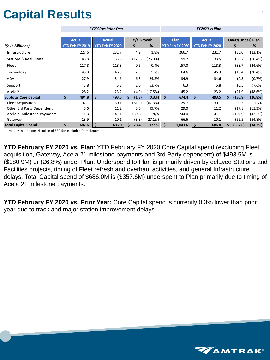## **Capital Results**

| <b>Over/(Under) Plan</b><br>Y/Y Growth<br>Plan<br><b>Actual</b><br><b>Actual</b><br><b>Actual</b><br>YTD Feb FY 2020<br>\$<br>YTD Feb FY 2020<br>YTD Feb FY 2019<br>%<br>YTD Feb FY 2020<br>(\$s in Millions)<br>\$<br>%<br>227.6<br>4.2<br>1.8%<br>266.7<br>231.7<br>231.7<br>(35.0)<br>Infrastructure<br>99.7<br><b>Stations &amp; Real Estate</b><br>45.8<br>33.5<br>(12.3)<br>33.5<br>(66.2)<br>(66.4%)<br>(26.9%)<br>0.5<br>117.8<br>118.3<br>0.4%<br>118.3<br>(38.7)<br>(24.6%)<br>Fleet<br>157.0<br>2.5<br>5.7%<br>46.3<br>Technology<br>43.8<br>46.3<br>64.6<br>(18.4)<br>34.6<br>6.8<br>(0.3)<br>27.9<br>24.2%<br>34.9<br>34.6<br>(0.7%)<br><b>ADA</b><br>3.8<br>5.8<br>2.0<br>53.7%<br>6.3<br>5.8<br>(0.5)<br>(7.6%)<br>Support<br>28.2<br>23.2<br>(4.9)<br>(17.5%)<br>45.2<br>23.2<br>Acela 21<br>(21.9)<br>\$<br>$\zeta$<br>\$<br>\$<br><b>Subtotal Core Capital</b><br>494.8<br>493.5<br>(1.3)<br>(0.3%)<br>493.5<br>(180.9)<br>(26.8%)<br>Ś.<br>674.4<br>Ŝ<br>92.1<br>30.1<br>(67.3%)<br>29.7<br>30.1<br>0.5<br>1.7%<br><b>Fleet Acquisition</b><br>(61.9)<br>5.6<br>11.2<br>5.6<br>11.2<br>Other 3rd Party Dependent<br>99.7%<br>29.0<br>(17.8)<br>(61.3%)<br>1.3<br>139.8<br>N/A<br>141.1<br>(102.9)<br>(42.2%)<br>Acela 21 Milestone Payments<br>141.1<br>244.0<br>(3.8)<br>(27.1%)<br>66.6<br>(56.5)<br>13.9<br>10.1<br>10.1<br>Gateway<br>\$<br>\$<br>\$<br>607.6<br>\$<br>12.9%<br>(357.6)<br><b>Total Capital Spend</b><br>686.0<br>78.4<br>1,043.6<br>\$<br>686.0<br>\$<br>(34.3%) |  | <b>FY2020 vs Prior Year</b> |  | FY2020 vs Plan |  |  |         |  |  |
|----------------------------------------------------------------------------------------------------------------------------------------------------------------------------------------------------------------------------------------------------------------------------------------------------------------------------------------------------------------------------------------------------------------------------------------------------------------------------------------------------------------------------------------------------------------------------------------------------------------------------------------------------------------------------------------------------------------------------------------------------------------------------------------------------------------------------------------------------------------------------------------------------------------------------------------------------------------------------------------------------------------------------------------------------------------------------------------------------------------------------------------------------------------------------------------------------------------------------------------------------------------------------------------------------------------------------------------------------------------------------------------------------------------------------------------------------------------------------------------------------------|--|-----------------------------|--|----------------|--|--|---------|--|--|
|                                                                                                                                                                                                                                                                                                                                                                                                                                                                                                                                                                                                                                                                                                                                                                                                                                                                                                                                                                                                                                                                                                                                                                                                                                                                                                                                                                                                                                                                                                          |  |                             |  |                |  |  |         |  |  |
|                                                                                                                                                                                                                                                                                                                                                                                                                                                                                                                                                                                                                                                                                                                                                                                                                                                                                                                                                                                                                                                                                                                                                                                                                                                                                                                                                                                                                                                                                                          |  |                             |  |                |  |  |         |  |  |
|                                                                                                                                                                                                                                                                                                                                                                                                                                                                                                                                                                                                                                                                                                                                                                                                                                                                                                                                                                                                                                                                                                                                                                                                                                                                                                                                                                                                                                                                                                          |  |                             |  |                |  |  |         |  |  |
|                                                                                                                                                                                                                                                                                                                                                                                                                                                                                                                                                                                                                                                                                                                                                                                                                                                                                                                                                                                                                                                                                                                                                                                                                                                                                                                                                                                                                                                                                                          |  |                             |  |                |  |  | (13.1%) |  |  |
|                                                                                                                                                                                                                                                                                                                                                                                                                                                                                                                                                                                                                                                                                                                                                                                                                                                                                                                                                                                                                                                                                                                                                                                                                                                                                                                                                                                                                                                                                                          |  |                             |  |                |  |  |         |  |  |
|                                                                                                                                                                                                                                                                                                                                                                                                                                                                                                                                                                                                                                                                                                                                                                                                                                                                                                                                                                                                                                                                                                                                                                                                                                                                                                                                                                                                                                                                                                          |  |                             |  |                |  |  |         |  |  |
|                                                                                                                                                                                                                                                                                                                                                                                                                                                                                                                                                                                                                                                                                                                                                                                                                                                                                                                                                                                                                                                                                                                                                                                                                                                                                                                                                                                                                                                                                                          |  |                             |  |                |  |  | (28.4%) |  |  |
|                                                                                                                                                                                                                                                                                                                                                                                                                                                                                                                                                                                                                                                                                                                                                                                                                                                                                                                                                                                                                                                                                                                                                                                                                                                                                                                                                                                                                                                                                                          |  |                             |  |                |  |  |         |  |  |
|                                                                                                                                                                                                                                                                                                                                                                                                                                                                                                                                                                                                                                                                                                                                                                                                                                                                                                                                                                                                                                                                                                                                                                                                                                                                                                                                                                                                                                                                                                          |  |                             |  |                |  |  |         |  |  |
|                                                                                                                                                                                                                                                                                                                                                                                                                                                                                                                                                                                                                                                                                                                                                                                                                                                                                                                                                                                                                                                                                                                                                                                                                                                                                                                                                                                                                                                                                                          |  |                             |  |                |  |  | (48.6%) |  |  |
|                                                                                                                                                                                                                                                                                                                                                                                                                                                                                                                                                                                                                                                                                                                                                                                                                                                                                                                                                                                                                                                                                                                                                                                                                                                                                                                                                                                                                                                                                                          |  |                             |  |                |  |  |         |  |  |
|                                                                                                                                                                                                                                                                                                                                                                                                                                                                                                                                                                                                                                                                                                                                                                                                                                                                                                                                                                                                                                                                                                                                                                                                                                                                                                                                                                                                                                                                                                          |  |                             |  |                |  |  |         |  |  |
|                                                                                                                                                                                                                                                                                                                                                                                                                                                                                                                                                                                                                                                                                                                                                                                                                                                                                                                                                                                                                                                                                                                                                                                                                                                                                                                                                                                                                                                                                                          |  |                             |  |                |  |  |         |  |  |
|                                                                                                                                                                                                                                                                                                                                                                                                                                                                                                                                                                                                                                                                                                                                                                                                                                                                                                                                                                                                                                                                                                                                                                                                                                                                                                                                                                                                                                                                                                          |  |                             |  |                |  |  |         |  |  |
|                                                                                                                                                                                                                                                                                                                                                                                                                                                                                                                                                                                                                                                                                                                                                                                                                                                                                                                                                                                                                                                                                                                                                                                                                                                                                                                                                                                                                                                                                                          |  |                             |  |                |  |  | (84.8%) |  |  |
|                                                                                                                                                                                                                                                                                                                                                                                                                                                                                                                                                                                                                                                                                                                                                                                                                                                                                                                                                                                                                                                                                                                                                                                                                                                                                                                                                                                                                                                                                                          |  |                             |  |                |  |  |         |  |  |

\*Mt. Joy in-kind contribution of \$30.5M excluded from figures

**YTD February FY 2020 vs. Plan**: YTD February FY 2020 Core Capital spend (excluding Fleet acquisition, Gateway, Acela 21 milestone payments and 3rd Party dependent) of \$493.5M is (\$180.9M) or (26.8%) under Plan. Underspend to Plan is primarily driven by delayed Stations and Facilities projects, timing of Fleet refresh and overhaul activities, and general Infrastructure delays. Total Capital spend of \$686.0M is (\$357.6M) underspent to Plan primarily due to timing of Acela 21 milestone payments.

**YTD February FY 2020 vs. Prior Year:** Core Capital spend is currently 0.3% lower than prior year due to track and major station improvement delays.

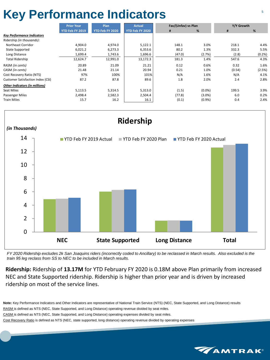### Key Performance Indicators

|                                          | <b>Prior Year</b> | Plan            | <b>Actual</b>   | Fav/(Unfav) vs Plan |           | Y/Y Growth |        |  |
|------------------------------------------|-------------------|-----------------|-----------------|---------------------|-----------|------------|--------|--|
|                                          | YTD Feb FY 2019   | YTD Feb FY 2020 | YTD Feb FY 2020 | #                   | %         | #          | %      |  |
| <b>Key Performance Indicators</b>        |                   |                 |                 |                     |           |            |        |  |
| Ridership (in thousands):                |                   |                 |                 |                     |           |            |        |  |
| Northeast Corridor                       | 4,904.0           | 4,974.0         | 5,122.1         | 148.1               | 3.0%      | 218.1      | 4.4%   |  |
| <b>State Supported</b>                   | 6,021.2           | 6,273.3         | 6,353.6         | 80.2                | 1.3%      | 332.3      | 5.5%   |  |
| Long Distance                            | 1,699.4           | 1,743.6         | 1,696.6         | (47.0)              | (2.7%)    | (2.8)      | (0.2%  |  |
| <b>Total Ridership</b>                   | 12,624.7          | 12,991.0        | 13,172.3        | 181.3               | 1.4%      | 547.6      | 4.3%   |  |
| RASM (in cents)                          | 20.89             | 21.09           | 21.21           | 0.12                | 0.6%      | 0.32       | 1.6%   |  |
| CASM (in cents)                          | 21.48             | 21.14           | 20.94           | 0.21                | 1.0%      | (0.54)     | (2.5%) |  |
| Cost Recovery Ratio (NTS)                | 97%               | 100%            | 101%            | N/A                 | 1.6%      | N/A        | 4.1%   |  |
| <b>Customer Satisfaction Index (CSI)</b> | 87.2              | 87.8            | 89.6            | 1.8                 | 2.0%      | 2.4        | 2.8%   |  |
| <b>Other Indicators (in millions)</b>    |                   |                 |                 |                     |           |            |        |  |
| Seat Miles                               | 5,113.5           | 5,314.5         | 5,313.0         | (1.5)               | $(0.0\%)$ | 199.5      | 3.9%   |  |
| Passenger Miles                          | 2,498.4           | 2,582.3         | 2,504.4         | (77.8)              | $(3.0\%)$ | 6.0        | 0.2%   |  |
| <b>Train Miles</b>                       | 15.7              | 16.2            | 16.1            | (0.1)               | (0.9%     | 0.4        | 2.4%   |  |



*FY 2020 Ridership excludes 2k San Joaquins riders (incorrectly coded to Ancillary) to be reclassed in March results. Also excluded is the train 95 leg reclass from SS to NEC to be included in March results.*

**Ridership:** Ridership of **13.17M** for YTD February FY 2020 is 0.18M above Plan primarily from increased NEC and State Supported ridership. Ridership is higher than prior year and is driven by increased ridership on most of the service lines.

**Note:** Key Performance Indicators and Other Indicators are representative of National Train Service (NTS) (NEC, State Supported, and Long Distance) results RASM is defined as NTS (NEC, State Supported, and Long Distance) operating revenue divided by seat miles. CASM is defined as NTS (NEC, State Supported, and Long Distance) operating expenses divided by seat miles. Cost Recovery Ratio is defined as NTS (NEC, state supported, long distance) operating revenue divided by operating expenses

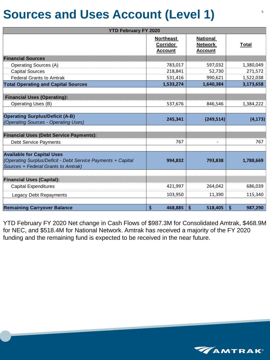### **Sources and Uses Account (Level 1)**

| <b>YTD February FY 2020</b>                                                                                                              |                                                       |                                                     |                    |
|------------------------------------------------------------------------------------------------------------------------------------------|-------------------------------------------------------|-----------------------------------------------------|--------------------|
|                                                                                                                                          | <b>Northeast</b><br><b>Corridor</b><br><b>Account</b> | <b>National</b><br><b>Network</b><br><b>Account</b> | <u>Total</u>       |
| <b>Financial Sources</b>                                                                                                                 |                                                       |                                                     |                    |
| <b>Operating Sources (A)</b>                                                                                                             | 783,017                                               | 597,032                                             | 1,380,049          |
| <b>Capital Sources</b>                                                                                                                   | 218,841                                               | 52,730                                              | 271,572            |
| <b>Federal Grants to Amtrak</b>                                                                                                          | 531,416                                               | 990,621                                             | 1,522,038          |
| <b>Total Operating and Capital Sources</b>                                                                                               | 1,533,274                                             | 1,640,384                                           | 3,173,658          |
|                                                                                                                                          |                                                       |                                                     |                    |
| <b>Financial Uses (Operating):</b>                                                                                                       |                                                       |                                                     |                    |
| <b>Operating Uses (B)</b>                                                                                                                | 537,676                                               | 846,546                                             | 1,384,222          |
|                                                                                                                                          |                                                       |                                                     |                    |
| <b>Operating Surplus/Deficit (A-B)</b><br>(Operating Sources - Operating Uses)                                                           | 245,341                                               | (249, 514)                                          | (4, 173)           |
| <b>Financial Uses (Debt Service Payments):</b>                                                                                           |                                                       |                                                     |                    |
| <b>Debt Service Payments</b>                                                                                                             | 767                                                   | $\overline{\phantom{a}}$                            | 767                |
|                                                                                                                                          |                                                       |                                                     |                    |
| <b>Available for Capital Uses</b><br>(Operating Surplus/Deficit - Debt Service Payments + Capital<br>Sources + Federal Grants to Amtrak) | 994,832                                               | 793,838                                             | 1,788,669          |
| <b>Financial Uses (Capital):</b>                                                                                                         |                                                       |                                                     |                    |
| <b>Capital Expenditures</b>                                                                                                              | 421,997                                               | 264,042                                             | 686,039            |
|                                                                                                                                          | 103,950                                               | 11,390                                              | 115,340            |
| <b>Legacy Debt Repayments</b>                                                                                                            |                                                       |                                                     |                    |
| <b>Remaining Carryover Balance</b>                                                                                                       | \$<br>468,885                                         | \$<br>518,405                                       | $\zeta$<br>987,290 |

YTD February FY 2020 Net change in Cash Flows of \$987.3M for Consolidated Amtrak, \$468.9M for NEC, and \$518.4M for National Network. Amtrak has received a majority of the FY 2020 funding and the remaining fund is expected to be received in the near future.



6